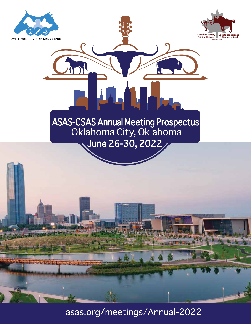



# June 26-30, 2022 ASAS-CSAS Annual Meeting Prospectus Oklahoma City, Oklahoma



asas.org/meetings/Annual-2022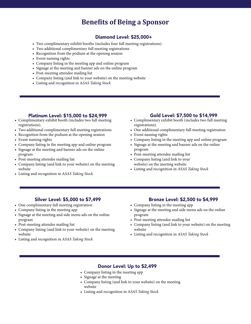## **Benefits of Being a Sponsor**

### Diamond Level: \$25,000+

- Two complimentary exhibit booths (includes four full meeting registrations).
- Two additional complimentary full meeting registrations
- Recognition from the podium at the opening session
- Event naming rights
- Company listing in the meeting app and online program
- Signage at the meeting and banner ads on the online program
- Post-meeting attendee mailing list
- Company listing (and link to your website) on the meeting website
- Listing and recognition in A*SAS Taking Stock*

#### platinum Level: \$15,000 to \$24,999

- Complimentary exhibit booth (includes two full meeting registrations).
- Two additional complimentary full meeting registrations
- Recognition from the podium at the opening session
- Event naming rights
- Company listing in the meeting app and online program
- Signage at the meeting and banner ads on the online program
- Post-meeting attendee mailing list
- Company listing (and link to your website) on the meeting website
- Listing and recognition in ASAS Taking Stock

#### Gold Level: \$7,500 to \$14,999

- Complimentary exhibit booth (includes two full meeting registrations).
- One additional complimentary full meeting registration
- Event naming rights
- Company listing in the meeting app and online program
- Signage at the meeting and banner ads on the online program
- Post-meeting attendee mailing list
- Company listing (and link to your website) on the meeting website
- Listing and recognition in *ASAS Taking Stock*

#### Silver Level: \$5,000 to \$7,499

- One complimentary full meeting registration
- Company listing in the meeting app
- Signage at the meeting and side menu ads on the online program
- Post-meeting attendee mailing list
- Company listing (and link to your website) on the meeting website
- Listing and recognition in *ASAS Taking Stock*

#### Bronze Level: \$2,500 to \$4,999

- Company listing in the meeting app
- Signage at the meeting and side menu ads on the online program
- Post-meeting attendee mailing list
- Company listing (and link to your website) on the meeting website
- Listing and recognition in *ASAS Taking Stock*

#### Donor Level: Up to \$2,499

- Company listing in the meeting app
- Signage at the meeting
- Company listing (and link to your website) on the meeting website
- Listing and recognition in A*SAS Taking Stock*